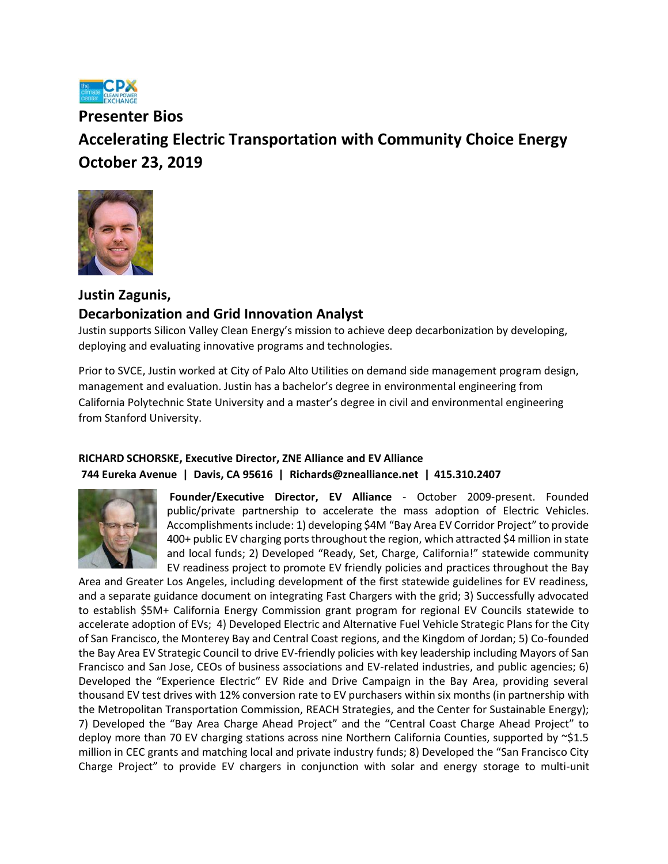

**Presenter Bios Accelerating Electric Transportation with Community Choice Energy October 23, 2019**



## **Justin Zagunis, Decarbonization and Grid Innovation Analyst**

Justin supports Silicon Valley Clean Energy's mission to achieve deep decarbonization by developing, deploying and evaluating innovative programs and technologies.

Prior to SVCE, Justin worked at City of Palo Alto Utilities on demand side management program design, management and evaluation. Justin has a bachelor's degree in environmental engineering from California Polytechnic State University and a master's degree in civil and environmental engineering from Stanford University.

## **RICHARD SCHORSKE, Executive Director, ZNE Alliance and EV Alliance 744 Eureka Avenue | Davis, CA 95616 | [Richards@znealliance.net](mailto:Richards@znealliance.net) | 415.310.2407**



**Founder/Executive Director, EV Alliance** - October 2009-present. Founded public/private partnership to accelerate the mass adoption of Electric Vehicles. Accomplishments include: 1) developing \$4M "Bay Area EV Corridor Project" to provide 400+ public EV charging ports throughout the region, which attracted \$4 million in state and local funds; 2) Developed "Ready, Set, Charge, California!" statewide community EV readiness project to promote EV friendly policies and practices throughout the Bay

Area and Greater Los Angeles, including development of the first statewide guidelines for EV readiness, and a separate guidance document on integrating Fast Chargers with the grid; 3) Successfully advocated to establish \$5M+ California Energy Commission grant program for regional EV Councils statewide to accelerate adoption of EVs; 4) Developed Electric and Alternative Fuel Vehicle Strategic Plans for the City of San Francisco, the Monterey Bay and Central Coast regions, and the Kingdom of Jordan; 5) Co-founded the Bay Area EV Strategic Council to drive EV-friendly policies with key leadership including Mayors of San Francisco and San Jose, CEOs of business associations and EV-related industries, and public agencies; 6) Developed the "Experience Electric" EV Ride and Drive Campaign in the Bay Area, providing several thousand EV test drives with 12% conversion rate to EV purchasers within six months (in partnership with the Metropolitan Transportation Commission, REACH Strategies, and the Center for Sustainable Energy); 7) Developed the "Bay Area Charge Ahead Project" and the "Central Coast Charge Ahead Project" to deploy more than 70 EV charging stations across nine Northern California Counties, supported by ~\$1.5 million in CEC grants and matching local and private industry funds; 8) Developed the "San Francisco City Charge Project" to provide EV chargers in conjunction with solar and energy storage to multi-unit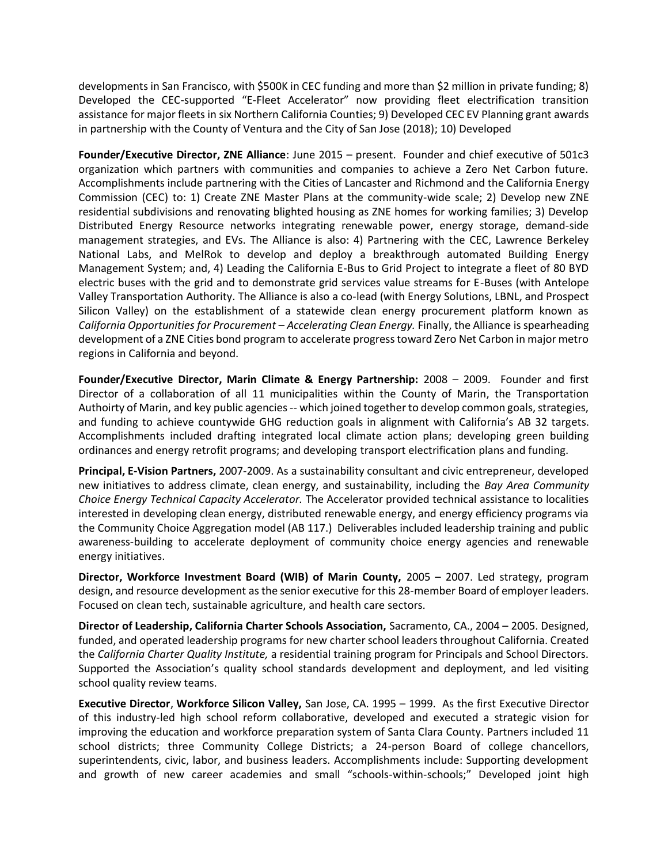developments in San Francisco, with \$500K in CEC funding and more than \$2 million in private funding; 8) Developed the CEC-supported "E-Fleet Accelerator" now providing fleet electrification transition assistance for major fleets in six Northern California Counties; 9) Developed CEC EV Planning grant awards in partnership with the County of Ventura and the City of San Jose (2018); 10) Developed

**Founder/Executive Director, ZNE Alliance**: June 2015 – present. Founder and chief executive of 501c3 organization which partners with communities and companies to achieve a Zero Net Carbon future. Accomplishments include partnering with the Cities of Lancaster and Richmond and the California Energy Commission (CEC) to: 1) Create ZNE Master Plans at the community-wide scale; 2) Develop new ZNE residential subdivisions and renovating blighted housing as ZNE homes for working families; 3) Develop Distributed Energy Resource networks integrating renewable power, energy storage, demand-side management strategies, and EVs. The Alliance is also: 4) Partnering with the CEC, Lawrence Berkeley National Labs, and MelRok to develop and deploy a breakthrough automated Building Energy Management System; and, 4) Leading the California E-Bus to Grid Project to integrate a fleet of 80 BYD electric buses with the grid and to demonstrate grid services value streams for E-Buses (with Antelope Valley Transportation Authority. The Alliance is also a co-lead (with Energy Solutions, LBNL, and Prospect Silicon Valley) on the establishment of a statewide clean energy procurement platform known as *California Opportunities for Procurement – Accelerating Clean Energy.* Finally, the Alliance is spearheading development of a ZNE Cities bond program to accelerate progress toward Zero Net Carbon in major metro regions in California and beyond.

**Founder/Executive Director, Marin Climate & Energy Partnership:** 2008 – 2009. Founder and first Director of a collaboration of all 11 municipalities within the County of Marin, the Transportation Authoirty of Marin, and key public agencies -- which joined together to develop common goals, strategies, and funding to achieve countywide GHG reduction goals in alignment with California's AB 32 targets. Accomplishments included drafting integrated local climate action plans; developing green building ordinances and energy retrofit programs; and developing transport electrification plans and funding.

**Principal, E-Vision Partners,** 2007-2009. As a sustainability consultant and civic entrepreneur, developed new initiatives to address climate, clean energy, and sustainability, including the *Bay Area Community Choice Energy Technical Capacity Accelerator.* The Accelerator provided technical assistance to localities interested in developing clean energy, distributed renewable energy, and energy efficiency programs via the Community Choice Aggregation model (AB 117.) Deliverables included leadership training and public awareness-building to accelerate deployment of community choice energy agencies and renewable energy initiatives.

**Director, Workforce Investment Board (WIB) of Marin County,** 2005 – 2007. Led strategy, program design, and resource development as the senior executive for this 28-member Board of employer leaders. Focused on clean tech, sustainable agriculture, and health care sectors.

**Director of Leadership, California Charter Schools Association,** Sacramento, CA., 2004 – 2005. Designed, funded, and operated leadership programs for new charter school leaders throughout California. Created the *California Charter Quality Institute,* a residential training program for Principals and School Directors. Supported the Association's quality school standards development and deployment, and led visiting school quality review teams.

**Executive Director**, **Workforce Silicon Valley,** San Jose, CA. 1995 – 1999. As the first Executive Director of this industry-led high school reform collaborative, developed and executed a strategic vision for improving the education and workforce preparation system of Santa Clara County. Partners included 11 school districts; three Community College Districts; a 24-person Board of college chancellors, superintendents, civic, labor, and business leaders. Accomplishments include: Supporting development and growth of new career academies and small "schools-within-schools;" Developed joint high